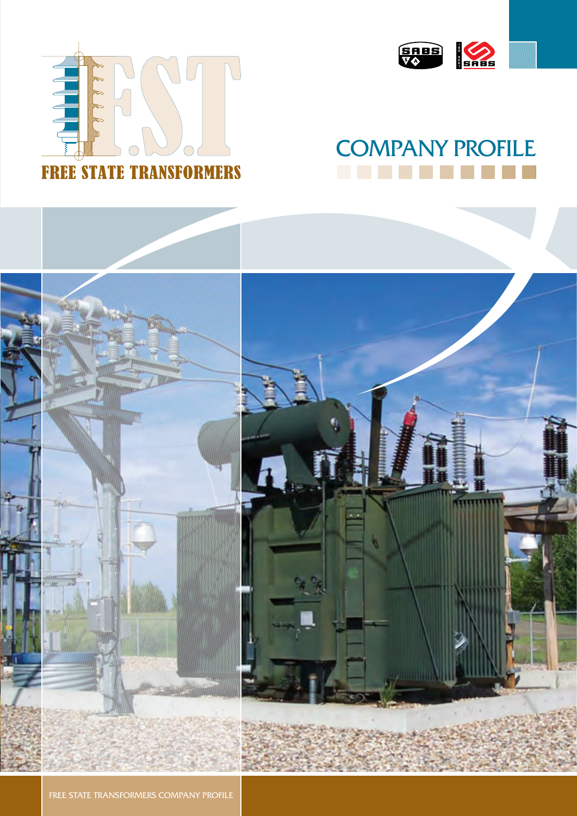



# **COMPANY PROFILE**



FREE STATE TRANSFORMERS COMPANY PROFILE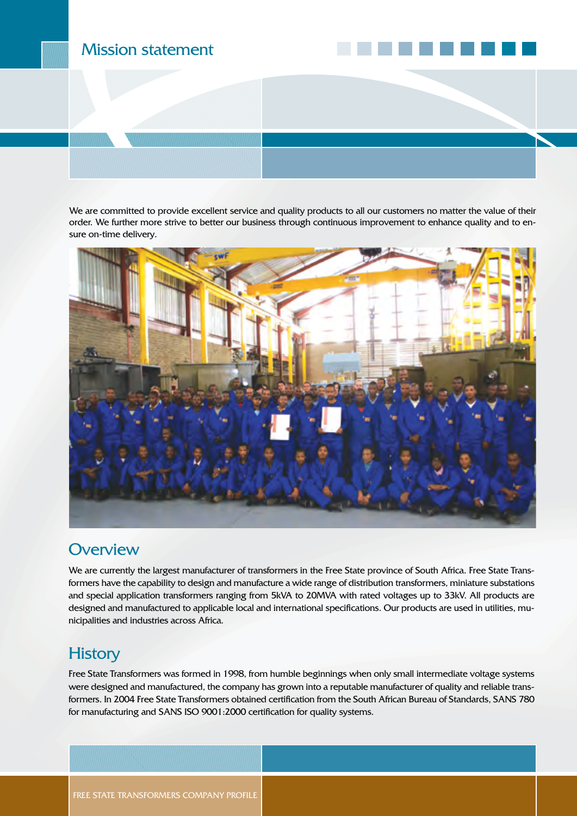#### Mission statement

We are committed to provide excellent service and quality products to all our customers no matter the value of their order. We further more strive to better our business through continuous improvement to enhance quality and to ensure on-time delivery.



#### **Overview**

We are currently the largest manufacturer of transformers in the Free State province of South Africa. Free State Transformers have the capability to design and manufacture a wide range of distribution transformers, miniature substations and special application transformers ranging from 5kVA to 20MVA with rated voltages up to 33kV. All products are designed and manufactured to applicable local and international specifications. Our products are used in utilities, municipalities and industries across Africa.

#### **History**

Free State Transformers was formed in 1998, from humble beginnings when only small intermediate voltage systems were designed and manufactured, the company has grown into a reputable manufacturer of quality and reliable transformers. In 2004 Free State Transformers obtained certification from the South African Bureau of Standards, SANS 780 for manufacturing and SANS ISO 9001:2000 certification for quality systems.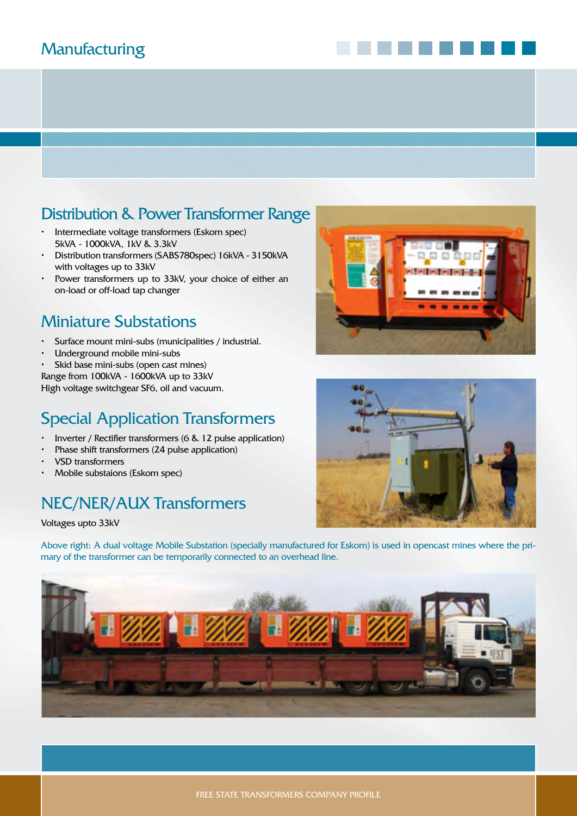## **Manufacturing**

#### Distribution & Power Transformer Range

- • Intermediate voltage transformers (Eskom spec) 5kVA - 1000kVA, 1kV & 3.3kV
- Distribution transformers (SABS780spec) 16kVA 3150kVA with voltages up to 33kV
- • Power transformers up to 33kV, your choice of either an on-load or off-load tap changer

#### Miniature Substations

- Surface mount mini-subs (municipalities / industrial.
- Underground mobile mini-subs
- Skid base mini-subs (open cast mines)

Range from 100kVA - 1600kVA up to 33kV High voltage switchgear SF6, oil and vacuum.

## Special Application Transformers

- Inverter / Rectifier transformers (6 & 12 pulse application)
- Phase shift transformers (24 pulse application)
- VSD transformers
- Mobile substaions (Eskom spec)

#### NEC/NER/AUX Transformers

Voltages upto 33kV

Above right: A dual voltage Mobile Substation (specially manufactured for Eskom) is used in opencast mines where the primary of the transformer can be temporarily connected to an overhead line.





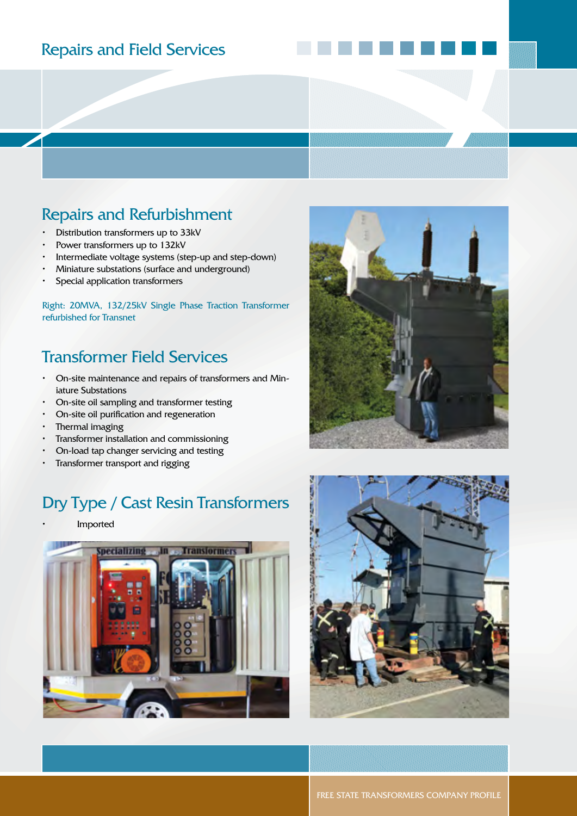#### Repairs and Field Services

#### Repairs and Refurbishment

- • Distribution transformers up to 33kV
- • Power transformers up to 132kV
- • Intermediate voltage systems (step-up and step-down)
- • Miniature substations (surface and underground)
- Special application transformers

Right: 20MVA, 132/25kV Single Phase Traction Transformer refurbished for Transnet

#### Transformer Field Services

- On-site maintenance and repairs of transformers and Miniature Substations
- • On-site oil sampling and transformer testing
- • On-site oil purification and regeneration
- Thermal imaging
- Transformer installation and commissioning
- On-load tap changer servicing and testing
- Transformer transport and rigging

#### Dry Type / Cast Resin Transformers

**Imported** 







FREE STATE TRANSFORMERS COMPANY PROFILE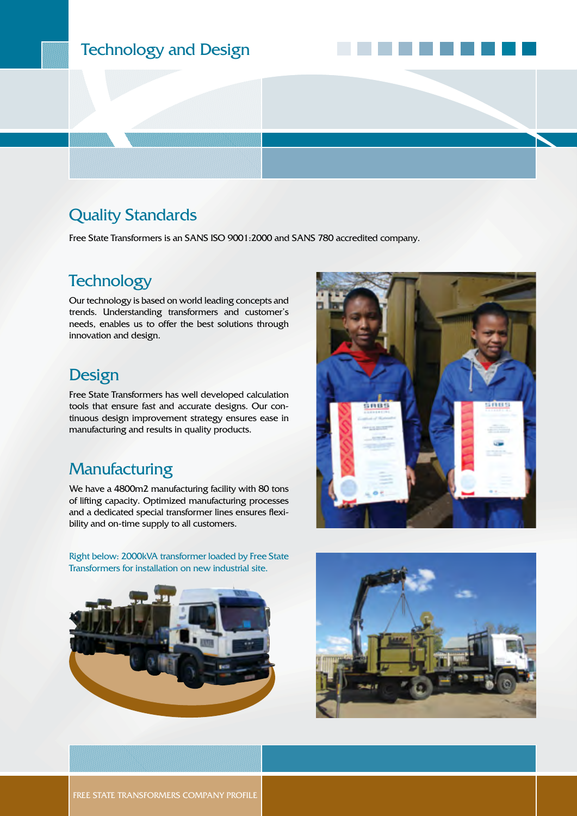## Technology and Design

#### Quality Standards

Free State Transformers is an SANS ISO 9001:2000 and SANS 780 accredited company.

#### **Technology**

Our technology is based on world leading concepts and trends. Understanding transformers and customer's needs, enables us to offer the best solutions through innovation and design.

#### **Design**

Free State Transformers has well developed calculation tools that ensure fast and accurate designs. Our continuous design improvement strategy ensures ease in manufacturing and results in quality products.

#### **Manufacturing**

We have a 4800m2 manufacturing facility with 80 tons of lifting capacity. Optimized manufacturing processes and a dedicated special transformer lines ensures flexibility and on-time supply to all customers.

Right below: 2000kVA transformer loaded by Free State Transformers for installation on new industrial site.